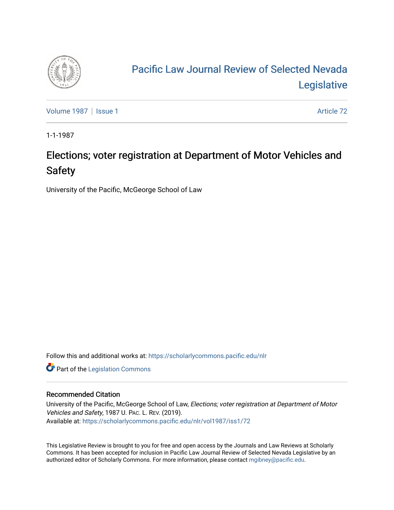

# [Pacific Law Journal Review of Selected Nevada](https://scholarlycommons.pacific.edu/nlr)  [Legislative](https://scholarlycommons.pacific.edu/nlr)

[Volume 1987](https://scholarlycommons.pacific.edu/nlr/vol1987) | [Issue 1](https://scholarlycommons.pacific.edu/nlr/vol1987/iss1) Article 72

1-1-1987

## Elections; voter registration at Department of Motor Vehicles and Safety

University of the Pacific, McGeorge School of Law

Follow this and additional works at: [https://scholarlycommons.pacific.edu/nlr](https://scholarlycommons.pacific.edu/nlr?utm_source=scholarlycommons.pacific.edu%2Fnlr%2Fvol1987%2Fiss1%2F72&utm_medium=PDF&utm_campaign=PDFCoverPages) 

**Part of the [Legislation Commons](http://network.bepress.com/hgg/discipline/859?utm_source=scholarlycommons.pacific.edu%2Fnlr%2Fvol1987%2Fiss1%2F72&utm_medium=PDF&utm_campaign=PDFCoverPages)** 

#### Recommended Citation

University of the Pacific, McGeorge School of Law, Elections; voter registration at Department of Motor Vehicles and Safety, 1987 U. PAC. L. REV. (2019). Available at: [https://scholarlycommons.pacific.edu/nlr/vol1987/iss1/72](https://scholarlycommons.pacific.edu/nlr/vol1987/iss1/72?utm_source=scholarlycommons.pacific.edu%2Fnlr%2Fvol1987%2Fiss1%2F72&utm_medium=PDF&utm_campaign=PDFCoverPages)

This Legislative Review is brought to you for free and open access by the Journals and Law Reviews at Scholarly Commons. It has been accepted for inclusion in Pacific Law Journal Review of Selected Nevada Legislative by an authorized editor of Scholarly Commons. For more information, please contact [mgibney@pacific.edu](mailto:mgibney@pacific.edu).